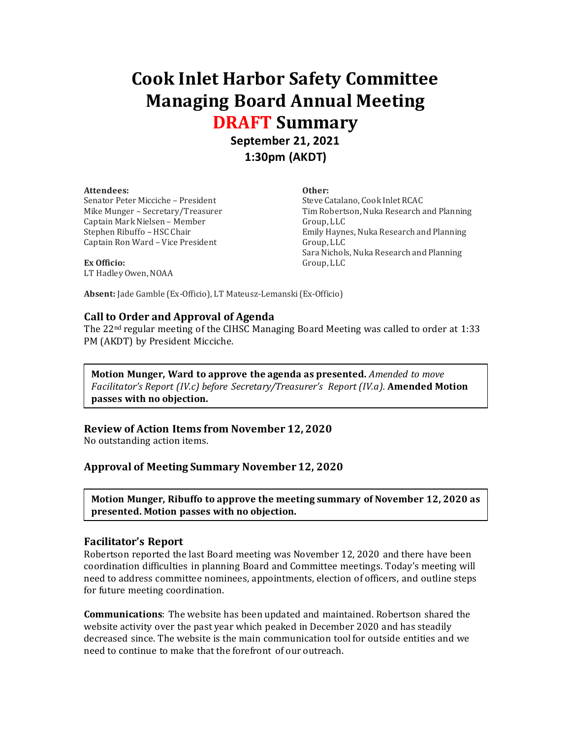# **Cook Inlet Harbor Safety Committee Managing Board Annual Meeting DRAFT Summary**

# **September 21, 2021 1:30pm (AKDT)**

#### **Attendees:**

Senator Peter Micciche – President Mike Munger – Secretary/Treasurer Captain Mark Nielsen – Member Stephen Ribuffo – HSC Chair Captain Ron Ward – Vice President

**Other:**

Steve Catalano, Cook Inlet RCAC Tim Robertson, Nuka Research and Planning Group, LLC Emily Haynes, Nuka Research and Planning Group, LLC Sara Nichols, Nuka Research and Planning Group, LLC

**Ex Officio:** LT Hadley Owen, NOAA

**Absent:** Jade Gamble (Ex-Officio), LT Mateusz-Lemanski (Ex-Officio)

# **Call to Order and Approval of Agenda**

The 22nd regular meeting of the CIHSC Managing Board Meeting was called to order at 1:33 PM (AKDT) by President Micciche.

**Motion Munger, Ward to approve the agenda as presented.** *Amended to move Facilitator's Report (IV.c) before Secretary/Treasurer's Report (IV.a).* **Amended Motion passes with no objection.**

# **Review of Action Items from November 12, 2020**

No outstanding action items.

# **Approval of Meeting Summary November 12, 2020**

**Motion Munger, Ribuffo to approve the meeting summary of November 12, 2020 as presented. Motion passes with no objection.**

#### **Facilitator's Report**

Robertson reported the last Board meeting was November 12, 2020 and there have been coordination difficulties in planning Board and Committee meetings. Today's meeting will need to address committee nominees, appointments, election of officers, and outline steps for future meeting coordination.

**Communications**: The website has been updated and maintained. Robertson shared the website activity over the past year which peaked in December 2020 and has steadily decreased since. The website is the main communication tool for outside entities and we need to continue to make that the forefront of our outreach.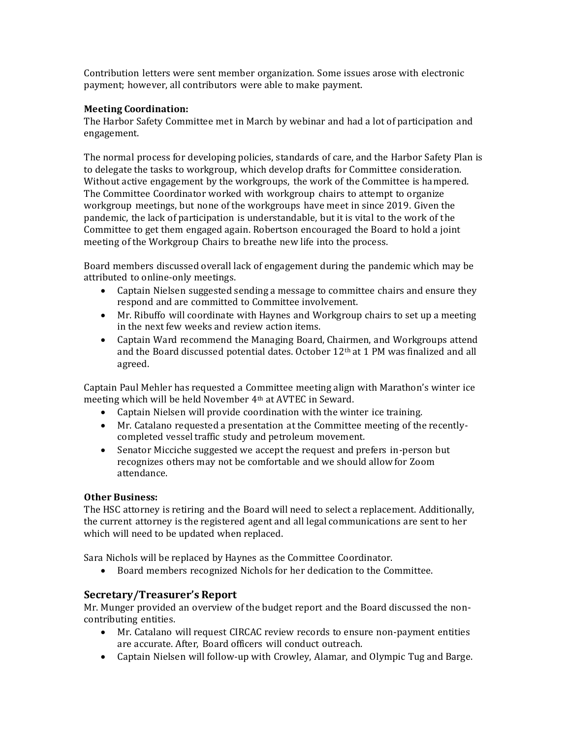Contribution letters were sent member organization. Some issues arose with electronic payment; however, all contributors were able to make payment.

#### **Meeting Coordination:**

The Harbor Safety Committee met in March by webinar and had a lot of participation and engagement.

The normal process for developing policies, standards of care, and the Harbor Safety Plan is to delegate the tasks to workgroup, which develop drafts for Committee consideration. Without active engagement by the workgroups, the work of the Committee is hampered. The Committee Coordinator worked with workgroup chairs to attempt to organize workgroup meetings, but none of the workgroups have meet in since 2019. Given the pandemic, the lack of participation is understandable, but it is vital to the work of the Committee to get them engaged again. Robertson encouraged the Board to hold a joint meeting of the Workgroup Chairs to breathe new life into the process.

Board members discussed overall lack of engagement during the pandemic which may be attributed to online-only meetings.

- Captain Nielsen suggested sending a message to committee chairs and ensure they respond and are committed to Committee involvement.
- Mr. Ribuffo will coordinate with Haynes and Workgroup chairs to set up a meeting in the next few weeks and review action items.
- Captain Ward recommend the Managing Board, Chairmen, and Workgroups attend and the Board discussed potential dates. October 12th at 1 PM was finalized and all agreed.

Captain Paul Mehler has requested a Committee meeting align with Marathon's winter ice meeting which will be held November 4th at AVTEC in Seward.

- Captain Nielsen will provide coordination with the winter ice training.
- Mr. Catalano requested a presentation at the Committee meeting of the recentlycompleted vessel traffic study and petroleum movement.
- Senator Micciche suggested we accept the request and prefers in-person but recognizes others may not be comfortable and we should allow for Zoom attendance.

# **Other Business:**

The HSC attorney is retiring and the Board will need to select a replacement. Additionally, the current attorney is the registered agent and all legal communications are sent to her which will need to be updated when replaced.

Sara Nichols will be replaced by Haynes as the Committee Coordinator.

• Board members recognized Nichols for her dedication to the Committee.

# **Secretary/Treasurer's Report**

Mr. Munger provided an overview of the budget report and the Board discussed the noncontributing entities.

- Mr. Catalano will request CIRCAC review records to ensure non-payment entities are accurate. After, Board officers will conduct outreach.
- Captain Nielsen will follow-up with Crowley, Alamar, and Olympic Tug and Barge.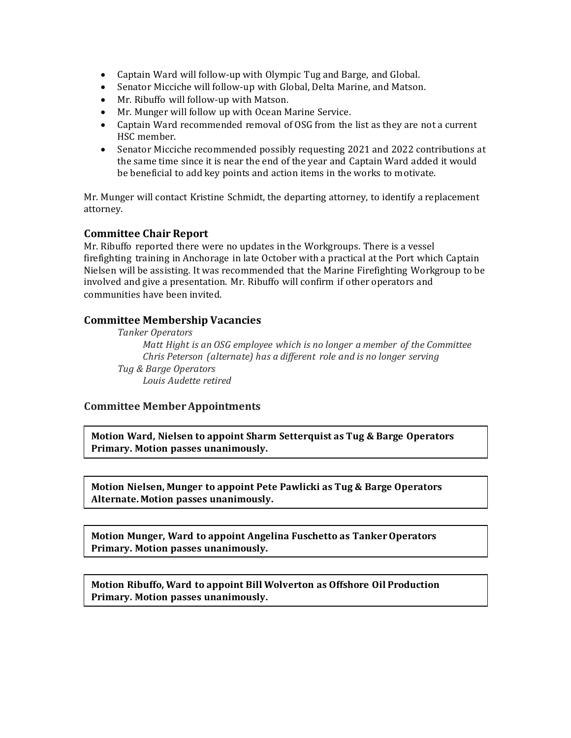- Captain Ward will follow-up with Olympic Tug and Barge, and Global.
- Senator Micciche will follow-up with Global, Delta Marine, and Matson.
- Mr. Ribuffo will follow-up with Matson.
- Mr. Munger will follow up with Ocean Marine Service.
- Captain Ward recommended removal of OSG from the list as they are not a current HSC member.
- Senator Micciche recommended possibly requesting 2021 and 2022 contributions at the same time since it is near the end of the year and Captain Ward added it would be beneficial to add key points and action items in the works to motivate.

Mr. Munger will contact Kristine Schmidt, the departing attorney, to identify a replacement attorney.

# **Committee Chair Report**

Mr. Ribuffo reported there were no updates in the Workgroups. There is a vessel firefighting training in Anchorage in late October with a practical at the Port which Captain Nielsen will be assisting. It was recommended that the Marine Firefighting Workgroup to be involved and give a presentation. Mr. Ribuffo will confirm if other operators and communities have been invited.

# **Committee Membership Vacancies**

*Tanker Operators Matt Hight is an OSG employee which is no longer a member of the Committee Chris Peterson (alternate) has a different role and is no longer serving Tug & Barge Operators Louis Audette retired*

# **Committee Member Appointments**

**Motion Ward, Nielsen to appoint Sharm Setterquist as Tug & Barge Operators Primary. Motion passes unanimously.**

**Motion Nielsen, Munger to appoint Pete Pawlicki as Tug & Barge Operators Alternate. Motion passes unanimously.**

**Motion Munger, Ward to appoint Angelina Fuschetto as Tanker Operators Primary. Motion passes unanimously.**

**Motion Ribuffo, Ward to appoint Bill Wolverton as Offshore Oil Production Primary. Motion passes unanimously.**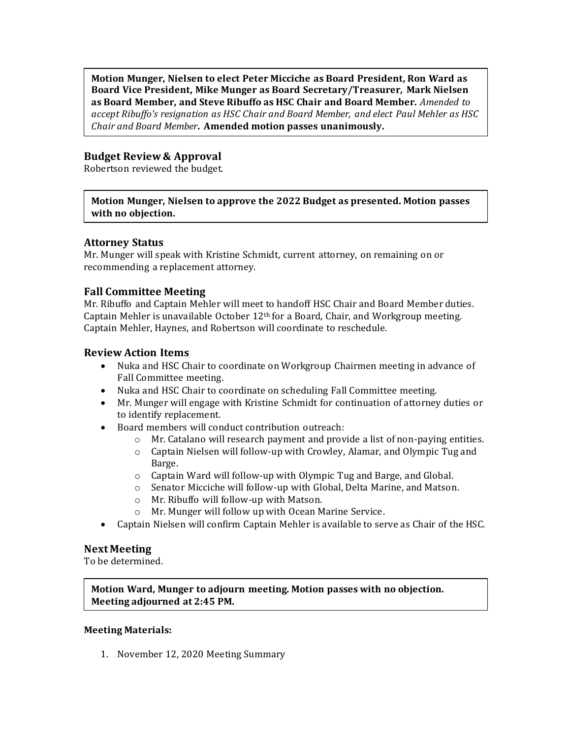**Motion Munger, Nielsen to elect Peter Micciche as Board President, Ron Ward as Board Vice President, Mike Munger as Board Secretary/Treasurer, Mark Nielsen as Board Member, and Steve Ribuffo as HSC Chair and Board Member.** *Amended to accept Ribuffo's resignation as HSC Chair and Board Member, and elect Paul Mehler as HSC Chair and Board Member***. Amended motion passes unanimously.**

# **Budget Review & Approval**

Robertson reviewed the budget.

#### **Motion Munger, Nielsen to approve the 2022 Budget as presented. Motion passes with no objection.**

#### **Attorney Status**

Mr. Munger will speak with Kristine Schmidt, current attorney, on remaining on or recommending a replacement attorney.

# **Fall Committee Meeting**

Mr. Ribuffo and Captain Mehler will meet to handoff HSC Chair and Board Member duties. Captain Mehler is unavailable October  $12<sup>th</sup>$  for a Board, Chair, and Workgroup meeting. Captain Mehler, Haynes, and Robertson will coordinate to reschedule.

# **Review Action Items**

- Nuka and HSC Chair to coordinate on Workgroup Chairmen meeting in advance of Fall Committee meeting.
- Nuka and HSC Chair to coordinate on scheduling Fall Committee meeting.
- Mr. Munger will engage with Kristine Schmidt for continuation of attorney duties or to identify replacement.
- Board members will conduct contribution outreach:
	- $\circ$  Mr. Catalano will research payment and provide a list of non-paying entities.
	- o Captain Nielsen will follow-up with Crowley, Alamar, and Olympic Tug and Barge.
	- o Captain Ward will follow-up with Olympic Tug and Barge, and Global.
	- o Senator Micciche will follow-up with Global, Delta Marine, and Matson.
	- o Mr. Ribuffo will follow-up with Matson.
	- o Mr. Munger will follow up with Ocean Marine Service.
- Captain Nielsen will confirm Captain Mehler is available to serve as Chair of the HSC.

#### **Next Meeting**

To be determined.

# **Motion Ward, Munger to adjourn meeting. Motion passes with no objection. Meeting adjourned at 2:45 PM.**

#### **Meeting Materials:**

1. November 12, 2020 Meeting Summary